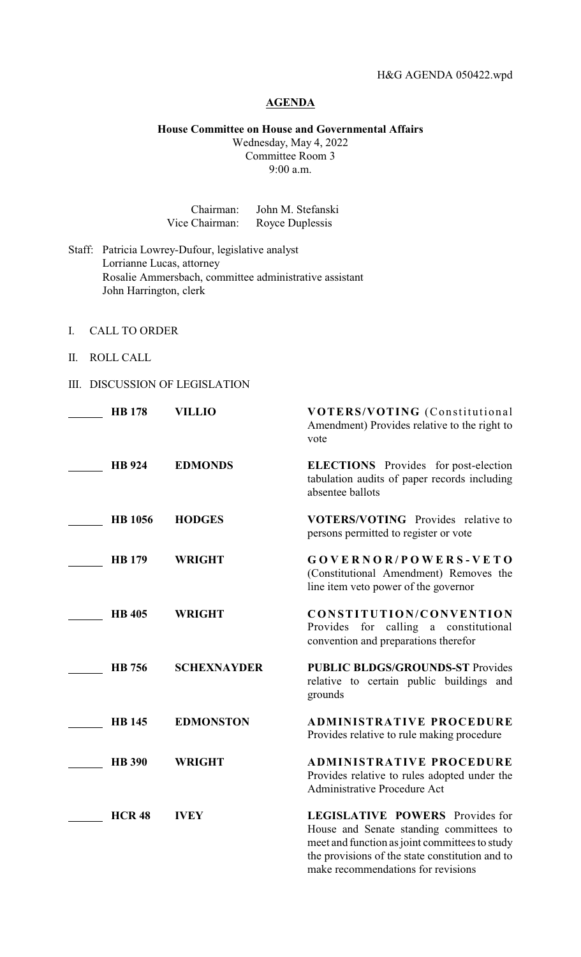# **AGENDA**

#### **House Committee on House and Governmental Affairs**

Wednesday, May 4, 2022 Committee Room 3 9:00 a.m.

| Chairman:      | John M. Stefanski |
|----------------|-------------------|
| Vice Chairman: | Royce Duplessis   |

- Staff: Patricia Lowrey-Dufour, legislative analyst Lorrianne Lucas, attorney Rosalie Ammersbach, committee administrative assistant John Harrington, clerk
- I. CALL TO ORDER
- II. ROLL CALL
- III. DISCUSSION OF LEGISLATION

| <b>HB</b> 178  | <b>VILLIO</b>      | VOTERS/VOTING (Constitutional<br>Amendment) Provides relative to the right to<br>vote                                                                                                                                 |
|----------------|--------------------|-----------------------------------------------------------------------------------------------------------------------------------------------------------------------------------------------------------------------|
| <b>HB</b> 924  | <b>EDMONDS</b>     | <b>ELECTIONS</b> Provides for post-election<br>tabulation audits of paper records including<br>absentee ballots                                                                                                       |
| <b>HB</b> 1056 | <b>HODGES</b>      | <b>VOTERS/VOTING</b> Provides relative to<br>persons permitted to register or vote                                                                                                                                    |
| <b>HB</b> 179  | <b>WRIGHT</b>      | GOVERNOR/POWERS-VETO<br>(Constitutional Amendment) Removes the<br>line item veto power of the governor                                                                                                                |
| <b>HB</b> 405  | <b>WRIGHT</b>      | CONSTITUTION/CONVENTION<br>Provides for calling a constitutional<br>convention and preparations therefor                                                                                                              |
| HB 756         | <b>SCHEXNAYDER</b> | <b>PUBLIC BLDGS/GROUNDS-ST Provides</b><br>relative to certain public buildings and<br>grounds                                                                                                                        |
| <b>HB</b> 145  | <b>EDMONSTON</b>   | <b>ADMINISTRATIVE PROCEDURE</b><br>Provides relative to rule making procedure                                                                                                                                         |
| <b>HB</b> 390  | <b>WRIGHT</b>      | <b>ADMINISTRATIVE PROCEDURE</b><br>Provides relative to rules adopted under the<br><b>Administrative Procedure Act</b>                                                                                                |
| <b>HCR 48</b>  | <b>IVEY</b>        | LEGISLATIVE POWERS Provides for<br>House and Senate standing committees to<br>meet and function as joint committees to study<br>the provisions of the state constitution and to<br>make recommendations for revisions |